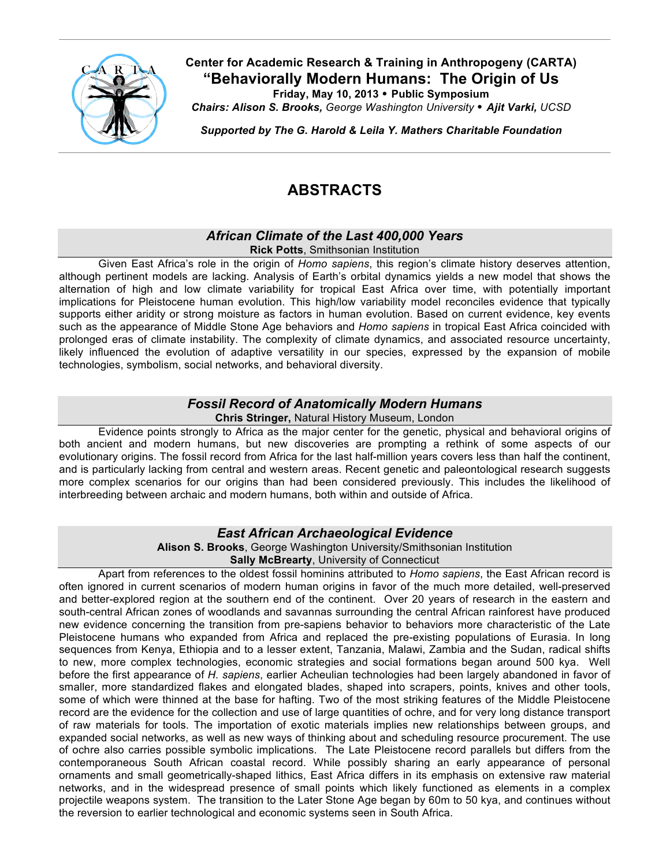

### **Center for Academic Research & Training in Anthropogeny (CARTA) "Behaviorally Modern Humans: The Origin of Us Friday, May 10, 2013 Public Symposium**

*Chairs: Alison S. Brooks, George Washington University Ajit Varki, UCSD*

*Supported by The G. Harold & Leila Y. Mathers Charitable Foundation*

# **ABSTRACTS**

# *African Climate of the Last 400,000 Years*

**Rick Potts**, Smithsonian Institution

Given East Africa's role in the origin of *Homo sapiens*, this region's climate history deserves attention, although pertinent models are lacking. Analysis of Earth's orbital dynamics yields a new model that shows the alternation of high and low climate variability for tropical East Africa over time, with potentially important implications for Pleistocene human evolution. This high/low variability model reconciles evidence that typically supports either aridity or strong moisture as factors in human evolution. Based on current evidence, key events such as the appearance of Middle Stone Age behaviors and *Homo sapiens* in tropical East Africa coincided with prolonged eras of climate instability. The complexity of climate dynamics, and associated resource uncertainty, likely influenced the evolution of adaptive versatility in our species, expressed by the expansion of mobile technologies, symbolism, social networks, and behavioral diversity.

### *Fossil Record of Anatomically Modern Humans* **Chris Stringer,** Natural History Museum, London

Evidence points strongly to Africa as the major center for the genetic, physical and behavioral origins of both ancient and modern humans, but new discoveries are prompting a rethink of some aspects of our evolutionary origins. The fossil record from Africa for the last half-million years covers less than half the continent, and is particularly lacking from central and western areas. Recent genetic and paleontological research suggests more complex scenarios for our origins than had been considered previously. This includes the likelihood of interbreeding between archaic and modern humans, both within and outside of Africa.

### *East African Archaeological Evidence*

**Alison S. Brooks**, George Washington University/Smithsonian Institution **Sally McBrearty**, University of Connecticut

Apart from references to the oldest fossil hominins attributed to *Homo sapiens*, the East African record is often ignored in current scenarios of modern human origins in favor of the much more detailed, well-preserved and better-explored region at the southern end of the continent. Over 20 years of research in the eastern and south-central African zones of woodlands and savannas surrounding the central African rainforest have produced new evidence concerning the transition from pre-sapiens behavior to behaviors more characteristic of the Late Pleistocene humans who expanded from Africa and replaced the pre-existing populations of Eurasia. In long sequences from Kenya, Ethiopia and to a lesser extent, Tanzania, Malawi, Zambia and the Sudan, radical shifts to new, more complex technologies, economic strategies and social formations began around 500 kya. Well before the first appearance of *H. sapiens*, earlier Acheulian technologies had been largely abandoned in favor of smaller, more standardized flakes and elongated blades, shaped into scrapers, points, knives and other tools, some of which were thinned at the base for hafting. Two of the most striking features of the Middle Pleistocene record are the evidence for the collection and use of large quantities of ochre, and for very long distance transport of raw materials for tools. The importation of exotic materials implies new relationships between groups, and expanded social networks, as well as new ways of thinking about and scheduling resource procurement. The use of ochre also carries possible symbolic implications. The Late Pleistocene record parallels but differs from the contemporaneous South African coastal record. While possibly sharing an early appearance of personal ornaments and small geometrically-shaped lithics, East Africa differs in its emphasis on extensive raw material networks, and in the widespread presence of small points which likely functioned as elements in a complex projectile weapons system. The transition to the Later Stone Age began by 60m to 50 kya, and continues without the reversion to earlier technological and economic systems seen in South Africa.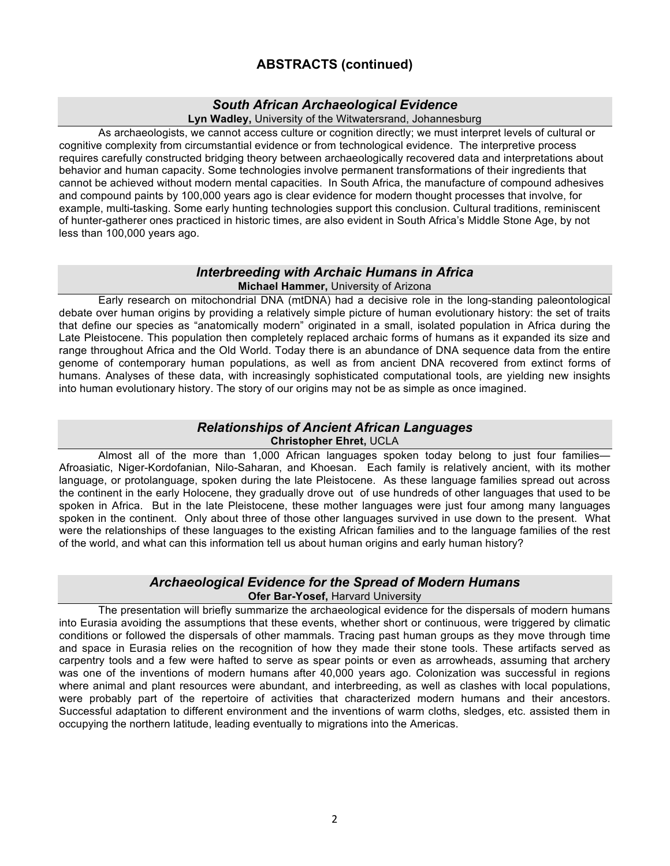# **ABSTRACTS (continued)**

# *South African Archaeological Evidence*

**Lyn Wadley,** University of the Witwatersrand, Johannesburg

As archaeologists, we cannot access culture or cognition directly; we must interpret levels of cultural or cognitive complexity from circumstantial evidence or from technological evidence. The interpretive process requires carefully constructed bridging theory between archaeologically recovered data and interpretations about behavior and human capacity. Some technologies involve permanent transformations of their ingredients that cannot be achieved without modern mental capacities. In South Africa, the manufacture of compound adhesives and compound paints by 100,000 years ago is clear evidence for modern thought processes that involve, for example, multi-tasking. Some early hunting technologies support this conclusion. Cultural traditions, reminiscent of hunter-gatherer ones practiced in historic times, are also evident in South Africa's Middle Stone Age, by not less than 100,000 years ago.

#### *Interbreeding with Archaic Humans in Africa* **Michael Hammer,** University of Arizona

Early research on mitochondrial DNA (mtDNA) had a decisive role in the long-standing paleontological debate over human origins by providing a relatively simple picture of human evolutionary history: the set of traits that define our species as "anatomically modern" originated in a small, isolated population in Africa during the Late Pleistocene. This population then completely replaced archaic forms of humans as it expanded its size and range throughout Africa and the Old World. Today there is an abundance of DNA sequence data from the entire genome of contemporary human populations, as well as from ancient DNA recovered from extinct forms of humans. Analyses of these data, with increasingly sophisticated computational tools, are yielding new insights into human evolutionary history. The story of our origins may not be as simple as once imagined.

### *Relationships of Ancient African Languages* **Christopher Ehret,** UCLA

Almost all of the more than 1,000 African languages spoken today belong to just four families— Afroasiatic, Niger-Kordofanian, Nilo-Saharan, and Khoesan. Each family is relatively ancient, with its mother language, or protolanguage, spoken during the late Pleistocene. As these language families spread out across the continent in the early Holocene, they gradually drove out of use hundreds of other languages that used to be spoken in Africa. But in the late Pleistocene, these mother languages were just four among many languages spoken in the continent. Only about three of those other languages survived in use down to the present. What were the relationships of these languages to the existing African families and to the language families of the rest of the world, and what can this information tell us about human origins and early human history?

## *Archaeological Evidence for the Spread of Modern Humans* **Ofer Bar-Yosef,** Harvard University

The presentation will briefly summarize the archaeological evidence for the dispersals of modern humans into Eurasia avoiding the assumptions that these events, whether short or continuous, were triggered by climatic conditions or followed the dispersals of other mammals. Tracing past human groups as they move through time and space in Eurasia relies on the recognition of how they made their stone tools. These artifacts served as carpentry tools and a few were hafted to serve as spear points or even as arrowheads, assuming that archery was one of the inventions of modern humans after 40,000 years ago. Colonization was successful in regions where animal and plant resources were abundant, and interbreeding, as well as clashes with local populations, were probably part of the repertoire of activities that characterized modern humans and their ancestors. Successful adaptation to different environment and the inventions of warm cloths, sledges, etc. assisted them in occupying the northern latitude, leading eventually to migrations into the Americas.